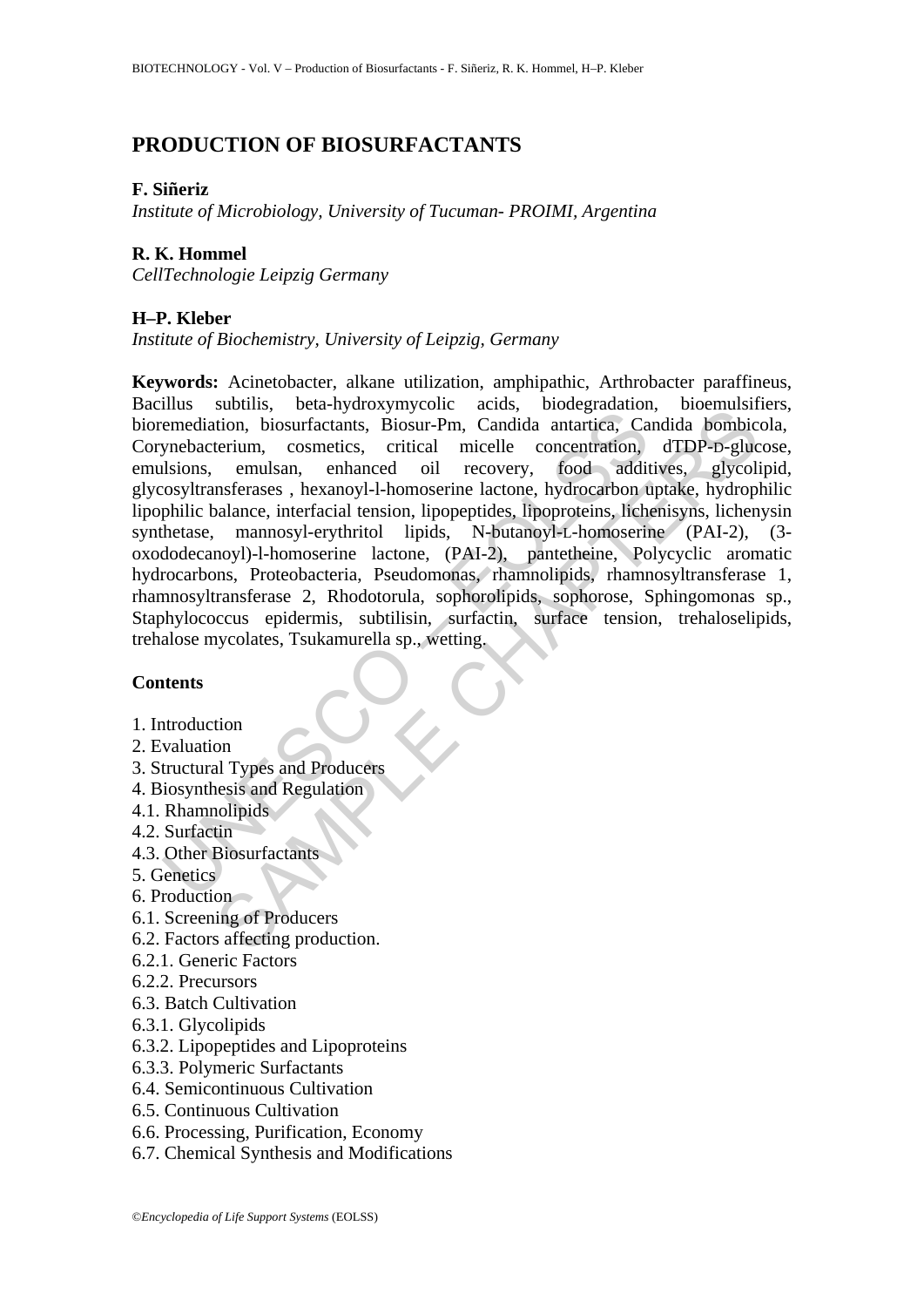# **PRODUCTION OF BIOSURFACTANTS**

#### **F. Siñeriz**

*Institute of Microbiology, University of Tucuman- PROIMI, Argentina* 

### **R. K. Hommel**

*CellTechnologie Leipzig Germany* 

## **H–P. Kleber**

*Institute of Biochemistry, University of Leipzig, Germany* 

mass victoria, external production, biosur-action, biosur-action, biosur-action, biosur-action, Bisour-Pm, Candida antartica, Capacidation, biosurical memerics, critical micelle concentration, sistem-Pm, cosmetics, critica storms, ocar-nyunovynyono acust, otocytaatans, process, condustries, Biosur-Pm, Candida antartica, Candida bombic<br>terium, cosmetics, critical micelle concentration, dTDP-D-glue<br>emulsan, enhanced oil recovery, food additive **Keywords:** Acinetobacter, alkane utilization, amphipathic, Arthrobacter paraffineus, Bacillus subtilis, beta-hydroxymycolic acids, biodegradation, bioemulsifiers, bioremediation, biosurfactants, Biosur-Pm, Candida antartica, Candida bombicola, Corynebacterium, cosmetics, critical micelle concentration, dTDP-D-glucose, emulsions, emulsan, enhanced oil recovery, food additives, glycolipid, glycosyltransferases , hexanoyl-l-homoserine lactone, hydrocarbon uptake, hydrophilic lipophilic balance, interfacial tension, lipopeptides, lipoproteins, lichenisyns, lichenysin synthetase, mannosyl-erythritol lipids, N-butanoyl-L-homoserine (PAI-2), (3 oxododecanoyl)-l-homoserine lactone, (PAI-2), pantetheine, Polycyclic aromatic hydrocarbons, Proteobacteria, Pseudomonas, rhamnolipids, rhamnosyltransferase 1, rhamnosyltransferase 2, Rhodotorula, sophorolipids, sophorose, Sphingomonas sp., Staphylococcus epidermis, subtilisin, surfactin, surface tension, trehaloselipids, trehalose mycolates, Tsukamurella sp., wetting.

### **Contents**

- 1. Introduction
- 2. Evaluation
- 3. Structural Types and Producers
- 4. Biosynthesis and Regulation
- 4.1. Rhamnolipids
- 4.2. Surfactin
- 4.3. Other Biosurfactants
- 5. Genetics
- 6. Production
- 6.1. Screening of Producers
- 6.2. Factors affecting production.
- 6.2.1. Generic Factors
- 6.2.2. Precursors
- 6.3. Batch Cultivation
- 6.3.1. Glycolipids
- 6.3.2. Lipopeptides and Lipoproteins
- 6.3.3. Polymeric Surfactants
- 6.4. Semicontinuous Cultivation
- 6.5. Continuous Cultivation
- 6.6. Processing, Purification, Economy
- 6.7. Chemical Synthesis and Modifications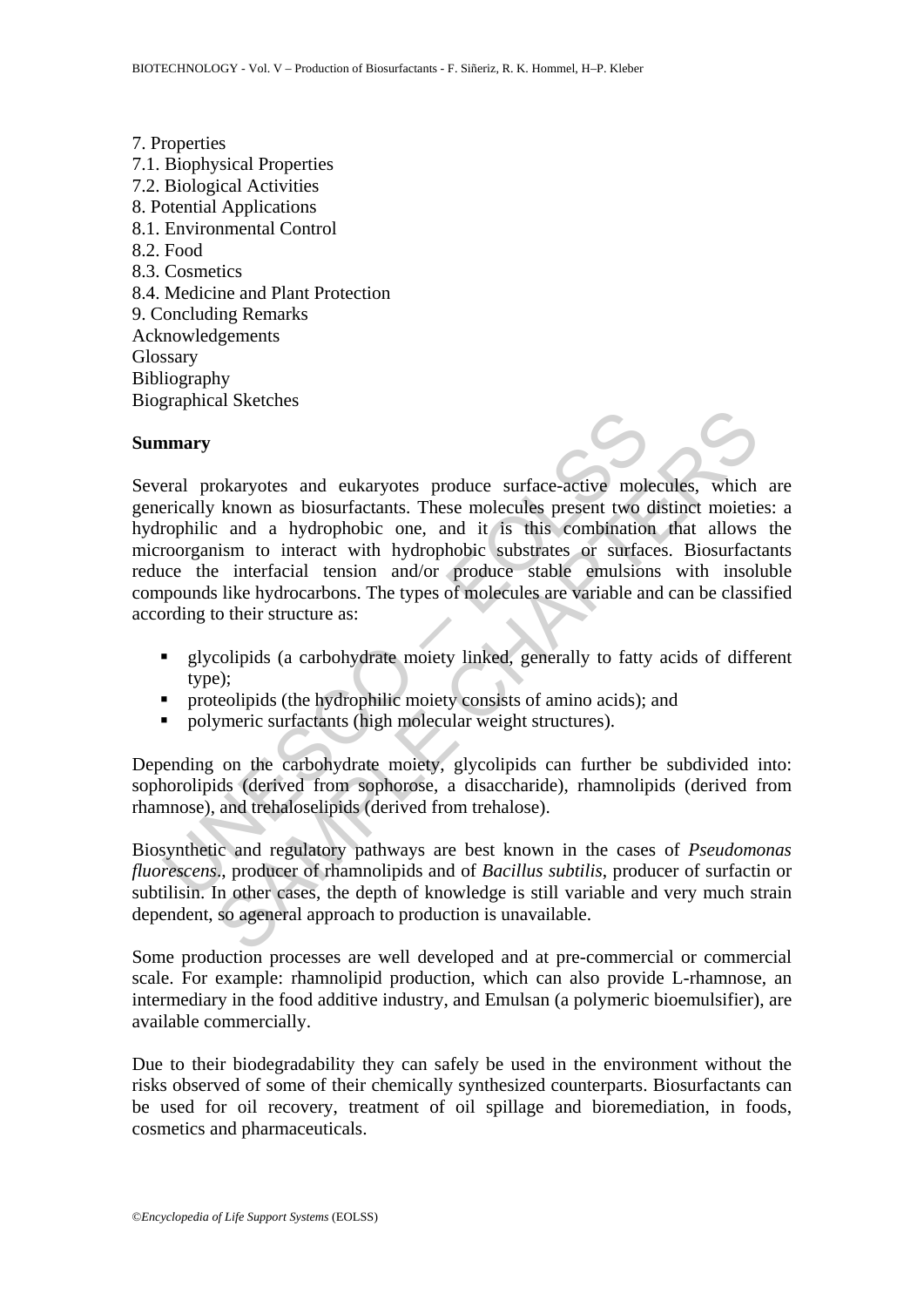7. Properties 7.1. Biophysical Properties 7.2. Biological Activities 8. Potential Applications 8.1. Environmental Control 8.2. Food 8.3. Cosmetics 8.4. Medicine and Plant Protection 9. Concluding Remarks Acknowledgements **Glossary** Bibliography Biographical Sketches

#### **Summary**



- glycolipids (a carbohydrate moiety linked, generally to fatty acids of different type);
- $\blacksquare$  proteolipids (the hydrophilic moiety consists of amino acids); and
- polymeric surfactants (high molecular weight structures).

Depending on the carbohydrate moiety, glycolipids can further be subdivided into: sophorolipids (derived from sophorose, a disaccharide), rhamnolipids (derived from rhamnose), and trehaloselipids (derived from trehalose).

Biosynthetic and regulatory pathways are best known in the cases of *Pseudomonas fluorescens*., producer of rhamnolipids and of *Bacillus subtilis*, producer of surfactin or subtilisin. In other cases, the depth of knowledge is still variable and very much strain dependent, so ageneral approach to production is unavailable.

Some production processes are well developed and at pre-commercial or commercial scale. For example: rhamnolipid production, which can also provide L-rhamnose, an intermediary in the food additive industry, and Emulsan (a polymeric bioemulsifier), are available commercially.

Due to their biodegradability they can safely be used in the environment without the risks observed of some of their chemically synthesized counterparts. Biosurfactants can be used for oil recovery, treatment of oil spillage and bioremediation, in foods, cosmetics and pharmaceuticals.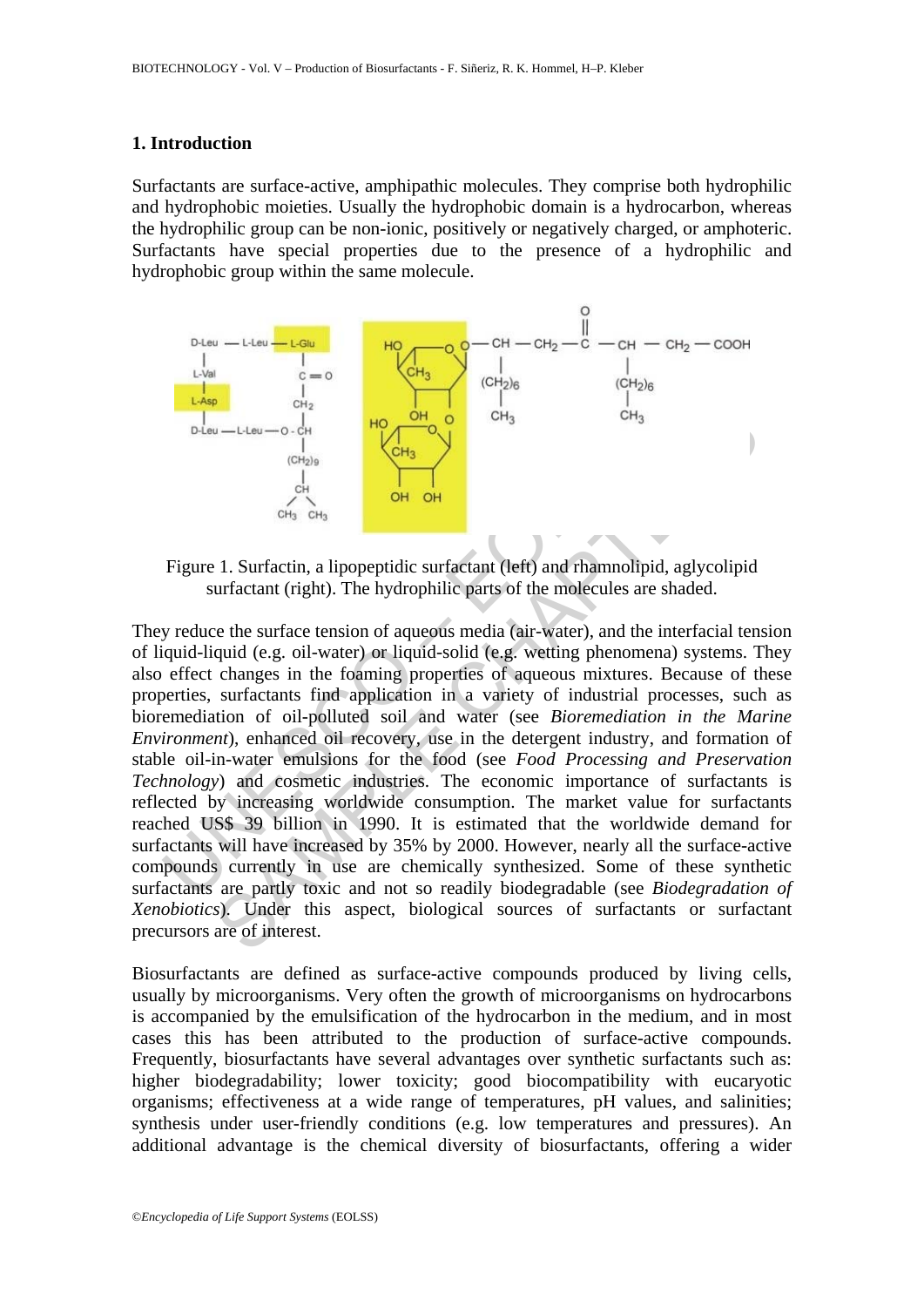#### **1. Introduction**

Surfactants are surface-active, amphipathic molecules. They comprise both hydrophilic and hydrophobic moieties. Usually the hydrophobic domain is a hydrocarbon, whereas the hydrophilic group can be non-ionic, positively or negatively charged, or amphoteric. Surfactants have special properties due to the presence of a hydrophilic and hydrophobic group within the same molecule.



Figure 1. Surfactin, a lipopeptidic surfactant (left) and rhamnolipid, aglycolipid surfactant (right). The hydrophilic parts of the molecules are shaded.

Delay —LLew — 0. CH<sub>3</sub><br>
Tegure 1. Surfactin, a lipopeptidic surfactant (left) and rhamnolip<br>
University of the chipse of the chipse of the molecules are<br>
y reduce the surfact (right). The hydrophilic parts of the molecule The control of the same control of the same control of the same of the same of the same of the chapter of the same of the same of the same of the same of the matter of the matter of the matter of the matter of the matter They reduce the surface tension of aqueous media (air-water), and the interfacial tension of liquid-liquid (e.g. oil-water) or liquid-solid (e.g. wetting phenomena) systems. They also effect changes in the foaming properties of aqueous mixtures. Because of these properties, surfactants find application in a variety of industrial processes, such as bioremediation of oil-polluted soil and water (see *Bioremediation in the Marine Environment*), enhanced oil recovery, use in the detergent industry, and formation of stable oil-in-water emulsions for the food (see *Food Processing and Preservation Technology*) and cosmetic industries. The economic importance of surfactants is reflected by increasing worldwide consumption. The market value for surfactants reached US\$ 39 billion in 1990. It is estimated that the worldwide demand for surfactants will have increased by 35% by 2000. However, nearly all the surface-active compounds currently in use are chemically synthesized. Some of these synthetic surfactants are partly toxic and not so readily biodegradable (see *Biodegradation of Xenobiotics*). Under this aspect, biological sources of surfactants or surfactant precursors are of interest.

Biosurfactants are defined as surface-active compounds produced by living cells, usually by microorganisms. Very often the growth of microorganisms on hydrocarbons is accompanied by the emulsification of the hydrocarbon in the medium, and in most cases this has been attributed to the production of surface-active compounds. Frequently, biosurfactants have several advantages over synthetic surfactants such as: higher biodegradability; lower toxicity; good biocompatibility with eucaryotic organisms; effectiveness at a wide range of temperatures, pH values, and salinities; synthesis under user-friendly conditions (e.g. low temperatures and pressures). An additional advantage is the chemical diversity of biosurfactants, offering a wider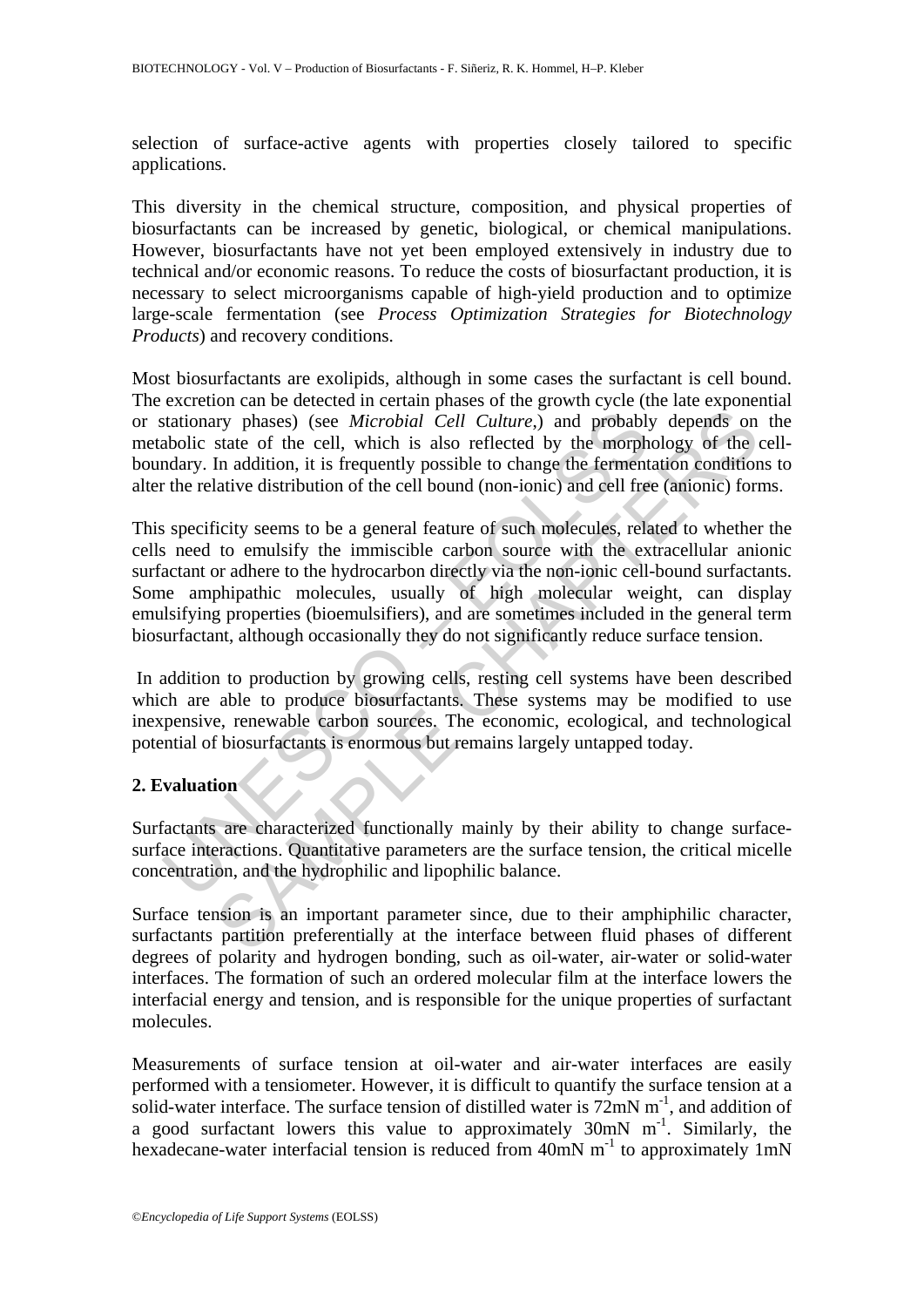selection of surface-active agents with properties closely tailored to specific applications.

This diversity in the chemical structure, composition, and physical properties of biosurfactants can be increased by genetic, biological, or chemical manipulations. However, biosurfactants have not yet been employed extensively in industry due to technical and/or economic reasons. To reduce the costs of biosurfactant production, it is necessary to select microorganisms capable of high-yield production and to optimize large-scale fermentation (see *Process Optimization Strategies for Biotechnology Products*) and recovery conditions.

Most biosurfactants are exolipids, although in some cases the surfactant is cell bound. The excretion can be detected in certain phases of the growth cycle (the late exponential or stationary phases) (see *Microbial Cell Culture*,) and probably depends on the metabolic state of the cell, which is also reflected by the morphology of the cellboundary. In addition, it is frequently possible to change the fermentation conditions to alter the relative distribution of the cell bound (non-ionic) and cell free (anionic) forms.

stationary phases) (see *Microbial Cell Culture*,) and probably<br>abolic state of the cell, which is also reflected by the morph<br>abolic state of the cell, which is also reflected by the morph<br>abolic state of the cell, which In the positive control control control control and the set of the cell, which is also reflected by the morphology of the state of the cell, which is also reflected by the morphology of the In addition, it is frequently po This specificity seems to be a general feature of such molecules, related to whether the cells need to emulsify the immiscible carbon source with the extracellular anionic surfactant or adhere to the hydrocarbon directly via the non-ionic cell-bound surfactants. Some amphipathic molecules, usually of high molecular weight, can display emulsifying properties (bioemulsifiers), and are sometimes included in the general term biosurfactant, although occasionally they do not significantly reduce surface tension.

 In addition to production by growing cells, resting cell systems have been described which are able to produce biosurfactants. These systems may be modified to use inexpensive, renewable carbon sources. The economic, ecological, and technological potential of biosurfactants is enormous but remains largely untapped today.

## **2. Evaluation**

Surfactants are characterized functionally mainly by their ability to change surfacesurface interactions. Quantitative parameters are the surface tension, the critical micelle concentration, and the hydrophilic and lipophilic balance.

Surface tension is an important parameter since, due to their amphiphilic character, surfactants partition preferentially at the interface between fluid phases of different degrees of polarity and hydrogen bonding, such as oil-water, air-water or solid-water interfaces. The formation of such an ordered molecular film at the interface lowers the interfacial energy and tension, and is responsible for the unique properties of surfactant molecules.

Measurements of surface tension at oil-water and air-water interfaces are easily performed with a tensiometer. However, it is difficult to quantify the surface tension at a solid-water interface. The surface tension of distilled water is  $72 \text{mN m}^{-1}$ , and addition of a good surfactant lowers this value to approximately  $30 \text{mN}$  m<sup>-1</sup>. Similarly, the hexadecane-water interfacial tension is reduced from  $40mN$  m<sup>-1</sup> to approximately 1mN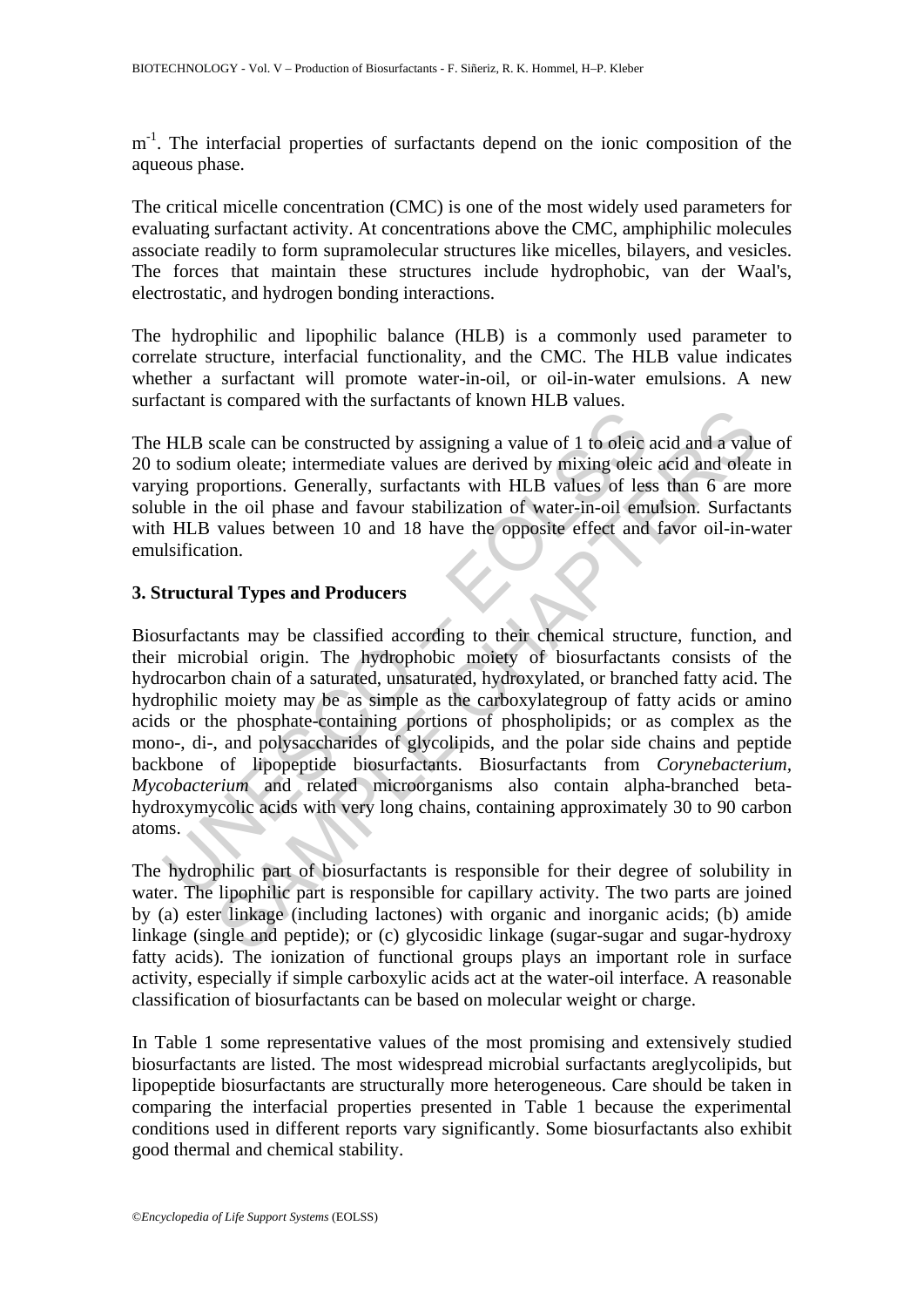m<sup>-1</sup>. The interfacial properties of surfactants depend on the ionic composition of the aqueous phase.

The critical micelle concentration (CMC) is one of the most widely used parameters for evaluating surfactant activity. At concentrations above the CMC, amphiphilic molecules associate readily to form supramolecular structures like micelles, bilayers, and vesicles. The forces that maintain these structures include hydrophobic, van der Waal's, electrostatic, and hydrogen bonding interactions.

The hydrophilic and lipophilic balance (HLB) is a commonly used parameter to correlate structure, interfacial functionality, and the CMC. The HLB value indicates whether a surfactant will promote water-in-oil, or oil-in-water emulsions. A new surfactant is compared with the surfactants of known HLB values.

The HLB scale can be constructed by assigning a value of 1 to oleic acid and a value of 20 to sodium oleate; intermediate values are derived by mixing oleic acid and oleate in varying proportions. Generally, surfactants with HLB values of less than 6 are more soluble in the oil phase and favour stabilization of water-in-oil emulsion. Surfactants with HLB values between 10 and 18 have the opposite effect and favor oil-in-water emulsification.

## **3. Structural Types and Producers**

HLB scale can be constructed by assigning a value of 1 to oleic<br>o sodium oleate; intermediate values are derived by mixing oleic<br>ing proportions. Generally, surfactants with HLB values of less<br>ble in the oil phase and favo Example and a valuation and a valuation and a valuation and signary and the molete; intermediate valuations are derived by mixing of less than 6 are the oil phase and favour stabilization of water-in-oil emulsion. Surfact Biosurfactants may be classified according to their chemical structure, function, and their microbial origin. The hydrophobic moiety of biosurfactants consists of the hydrocarbon chain of a saturated, unsaturated, hydroxylated, or branched fatty acid. The hydrophilic moiety may be as simple as the carboxylategroup of fatty acids or amino acids or the phosphate-containing portions of phospholipids; or as complex as the mono-, di-, and polysaccharides of glycolipids, and the polar side chains and peptide backbone of lipopeptide biosurfactants. Biosurfactants from *Corynebacterium, Mycobacterium* and related microorganisms also contain alpha-branched betahydroxymycolic acids with very long chains, containing approximately 30 to 90 carbon atoms.

The hydrophilic part of biosurfactants is responsible for their degree of solubility in water. The lipophilic part is responsible for capillary activity. The two parts are joined by (a) ester linkage (including lactones) with organic and inorganic acids; (b) amide linkage (single and peptide); or (c) glycosidic linkage (sugar-sugar and sugar-hydroxy fatty acids). The ionization of functional groups plays an important role in surface activity, especially if simple carboxylic acids act at the water-oil interface. A reasonable classification of biosurfactants can be based on molecular weight or charge.

In Table 1 some representative values of the most promising and extensively studied biosurfactants are listed. The most widespread microbial surfactants areglycolipids, but lipopeptide biosurfactants are structurally more heterogeneous. Care should be taken in comparing the interfacial properties presented in Table 1 because the experimental conditions used in different reports vary significantly. Some biosurfactants also exhibit good thermal and chemical stability.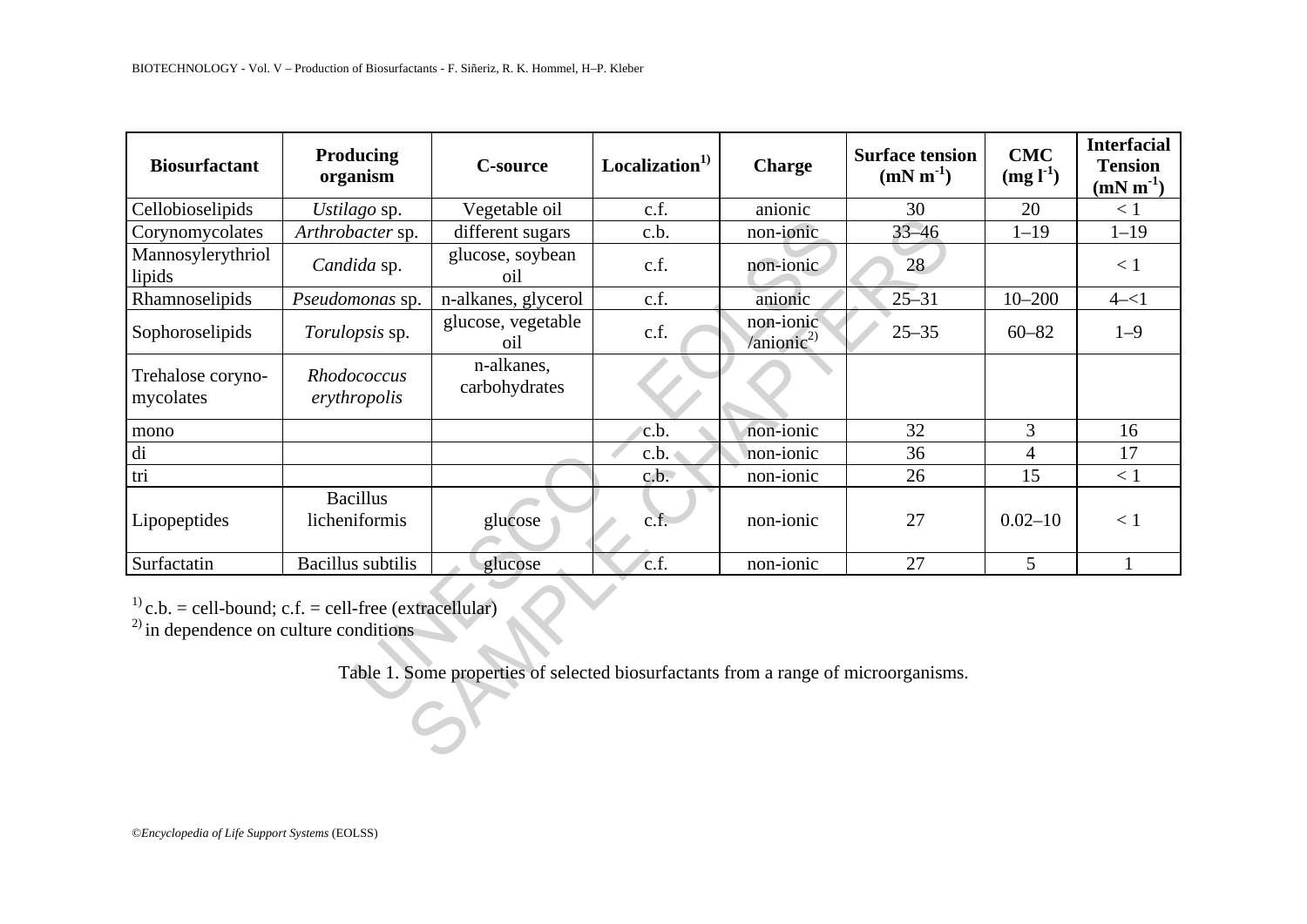| <b>Biosurfactant</b>                                                                                             | Producing<br>organism            | <b>C-source</b>                                                                     | Localization <sup>1)</sup> | <b>Charge</b>           | <b>Surface tension</b><br>$(mN m^{-1})$ | <b>CMC</b><br>$(mg l-1)$ | <b>Interfacial</b><br><b>Tension</b><br>$(mN m-1)$ |
|------------------------------------------------------------------------------------------------------------------|----------------------------------|-------------------------------------------------------------------------------------|----------------------------|-------------------------|-----------------------------------------|--------------------------|----------------------------------------------------|
| Cellobioselipids                                                                                                 | Ustilago sp.                     | Vegetable oil                                                                       | c.f.                       | anionic                 | 30                                      | 20                       | < 1                                                |
| Corynomycolates                                                                                                  | Arthrobacter sp.                 | different sugars                                                                    | c.b.                       | non-ionic               | $33 - 46$                               | $1 - 19$                 | $1 - 19$                                           |
| Mannosylerythriol<br>lipids                                                                                      | Candida sp.                      | glucose, soybean<br>oil                                                             | c.f.                       | non-ionic               | 28                                      |                          | < 1                                                |
| Rhamnoselipids                                                                                                   | Pseudomonas sp.                  | n-alkanes, glycerol                                                                 | c.f.                       | anionic                 | $25 - 31$                               | $10 - 200$               | $4 - 1$                                            |
| Sophoroselipids                                                                                                  | Torulopsis sp.                   | glucose, vegetable<br>oil                                                           | c.f.                       | non-ionic<br>$\sin 2^2$ | $25 - 35$                               | $60 - 82$                | $1 - 9$                                            |
| Trehalose coryno-<br>mycolates                                                                                   | Rhodococcus<br>erythropolis      | n-alkanes,<br>carbohydrates                                                         |                            |                         |                                         |                          |                                                    |
| mono                                                                                                             |                                  |                                                                                     | c.b.                       | non-ionic               | 32                                      | 3                        | 16                                                 |
| di                                                                                                               |                                  |                                                                                     | c.b.                       | non-ionic               | 36                                      | $\overline{4}$           | 17                                                 |
| tri                                                                                                              |                                  |                                                                                     | c.b.                       | non-ionic               | 26                                      | 15                       | < 1                                                |
| Lipopeptides                                                                                                     | <b>Bacillus</b><br>licheniformis | glucose                                                                             | c.f.                       | non-ionic               | 27                                      | $0.02 - 10$              | < 1                                                |
| Surfactatin                                                                                                      | <b>Bacillus</b> subtilis         | glucose                                                                             | c.f.                       | non-ionic               | 27                                      | $\mathfrak{S}$           | $\mathbf{1}$                                       |
| <sup>1)</sup> c.b. = cell-bound; c.f. = cell-free (extracellular)<br>$^{2)}$ in dependence on culture conditions |                                  | Table 1. Some properties of selected biosurfactants from a range of microorganisms. |                            |                         |                                         |                          |                                                    |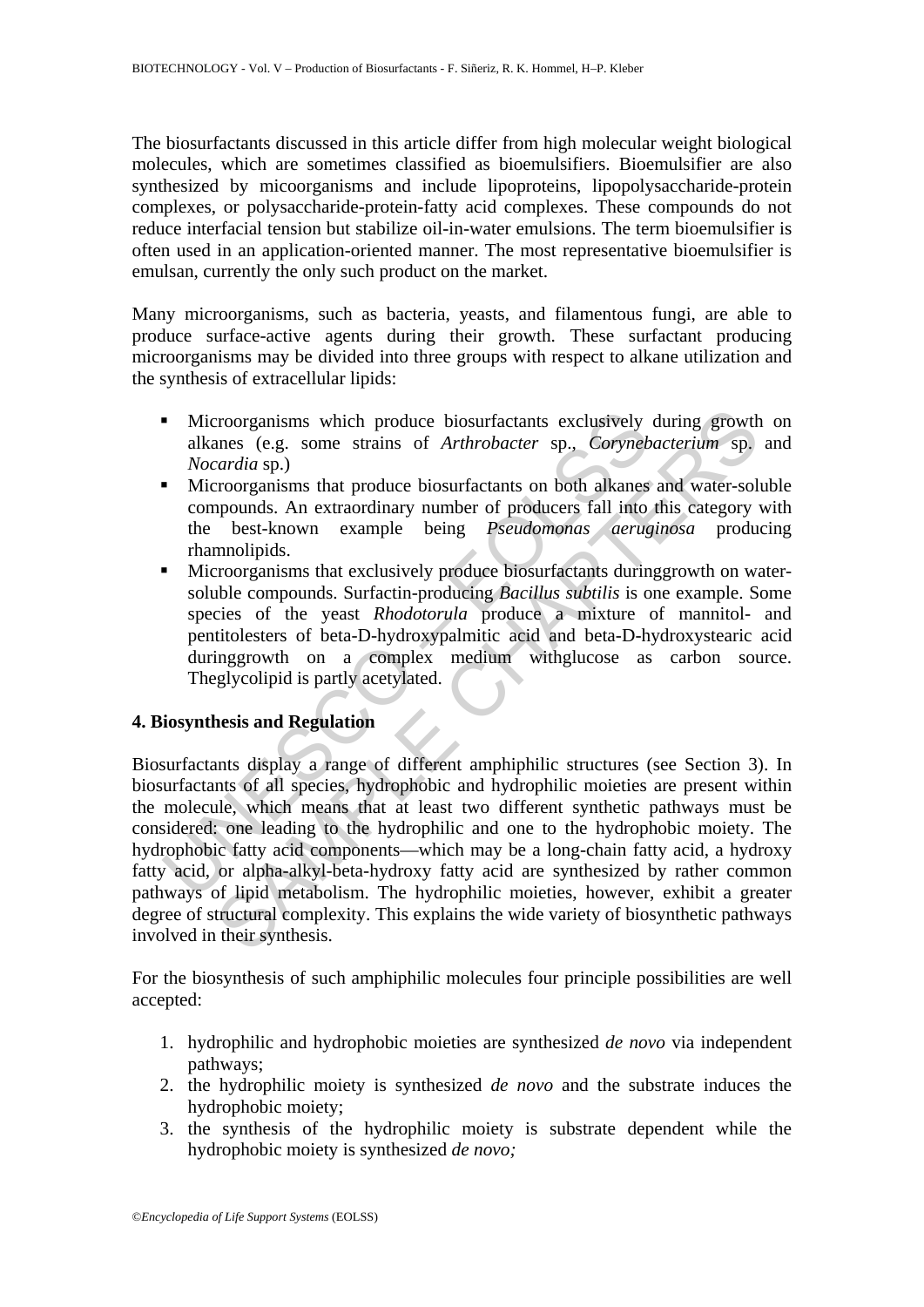The biosurfactants discussed in this article differ from high molecular weight biological molecules, which are sometimes classified as bioemulsifiers. Bioemulsifier are also synthesized by micoorganisms and include lipoproteins, lipopolysaccharide-protein complexes, or polysaccharide-protein-fatty acid complexes. These compounds do not reduce interfacial tension but stabilize oil-in-water emulsions. The term bioemulsifier is often used in an application-oriented manner. The most representative bioemulsifier is emulsan, currently the only such product on the market.

Many microorganisms, such as bacteria, yeasts, and filamentous fungi, are able to produce surface-active agents during their growth. These surfactant producing microorganisms may be divided into three groups with respect to alkane utilization and the synthesis of extracellular lipids:

- **Microorganisms** which produce biosurfactants exclusively during growth on alkanes (e.g. some strains of *Arthrobacter* sp., *Corynebacterium* sp. and *Nocardia* sp.)
- Microorganisms that produce biosurfactants on both alkanes and water-soluble compounds. An extraordinary number of producers fall into this category with the best-known example being *Pseudomonas aeruginosa* producing rhamnolipids.
- Microorganisms that exclusively produce biosurfactants duringgrowth on watersoluble compounds. Surfactin-producing *Bacillus subtilis* is one example. Some species of the yeast *Rhodotorula* produce a mixture of mannitol- and pentitolesters of beta-D-hydroxypalmitic acid and beta-D-hydroxystearic acid duringgrowth on a complex medium withglucose as carbon source. Theglycolipid is partly acetylated.

## **4. Biosynthesis and Regulation**

• Microorganisms which produce biosurfactants exclusively<br>
alkanes (e.g. some strains of *Arthrobacter* sp., *Coryneb*<br> *Nocardia* sp.)<br>
• Microorganisms that produce biosurfactants on both alkanes<br>
compounds. An extraordi corresponsions which produce biosurfactants exclusively during growth<br>areas (e.g. some strains of *Arthrobacter* sp., *Corynebacterium* sp.<br>*croorganisms* that produce biosurfactants on both alkanes and water-sol<br>apounds. Biosurfactants display a range of different amphiphilic structures (see Section 3). In biosurfactants of all species, hydrophobic and hydrophilic moieties are present within the molecule, which means that at least two different synthetic pathways must be considered: one leading to the hydrophilic and one to the hydrophobic moiety. The hydrophobic fatty acid components—which may be a long-chain fatty acid, a hydroxy fatty acid, or alpha-alkyl-beta-hydroxy fatty acid are synthesized by rather common pathways of lipid metabolism. The hydrophilic moieties, however, exhibit a greater degree of structural complexity. This explains the wide variety of biosynthetic pathways involved in their synthesis.

For the biosynthesis of such amphiphilic molecules four principle possibilities are well accepted:

- 1. hydrophilic and hydrophobic moieties are synthesized *de novo* via independent pathways;
- 2. the hydrophilic moiety is synthesized *de novo* and the substrate induces the hydrophobic moiety;
- 3. the synthesis of the hydrophilic moiety is substrate dependent while the hydrophobic moiety is synthesized *de novo;*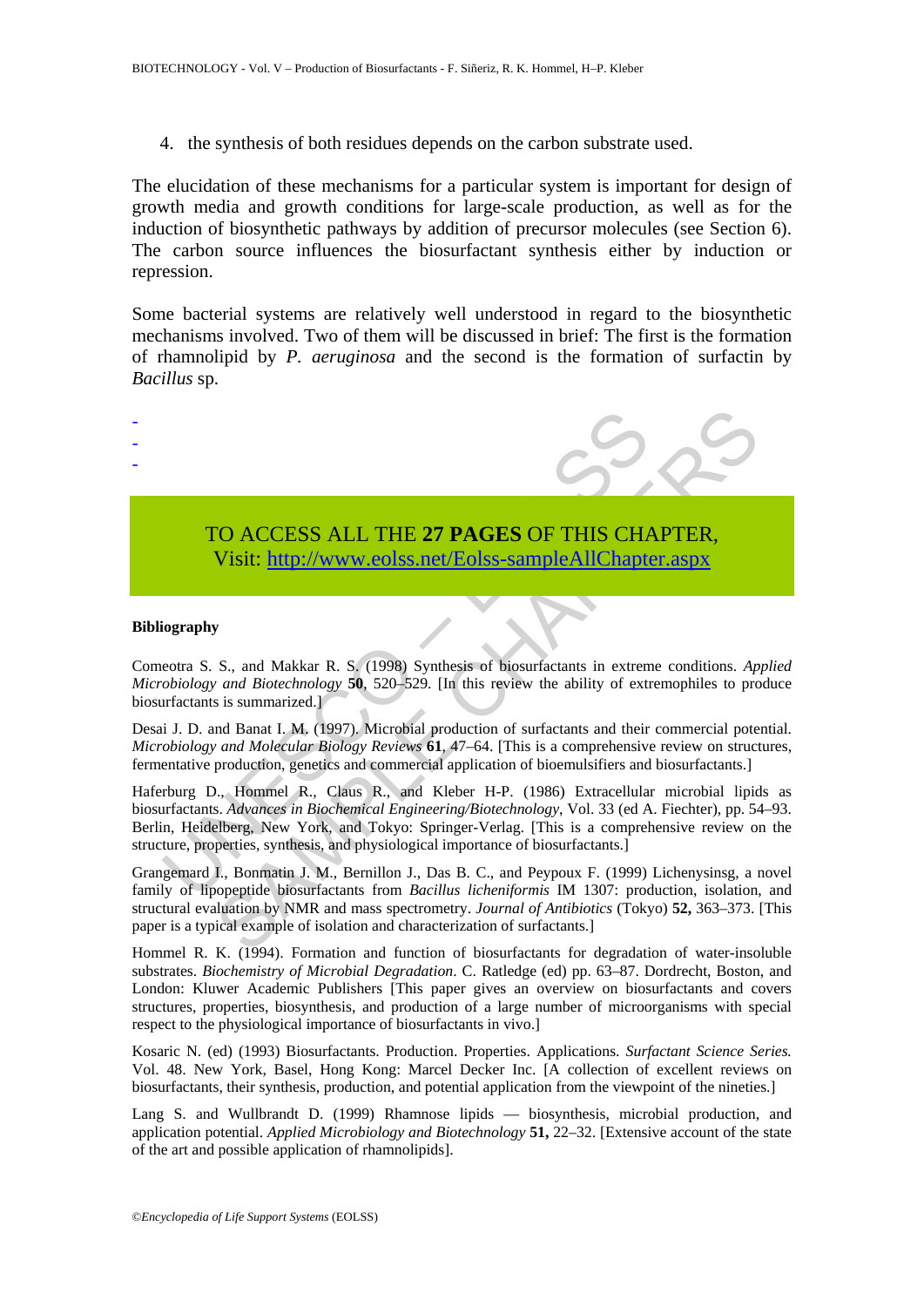4. the synthesis of both residues depends on the carbon substrate used.

The elucidation of these mechanisms for a particular system is important for design of growth media and growth conditions for large-scale production, as well as for the induction of biosynthetic pathways by addition of precursor molecules (see Section 6). The carbon source influences the biosurfactant synthesis either by induction or repression.

Some bacterial systems are relatively well understood in regard to the biosynthetic mechanisms involved. Two of them will be discussed in brief: The first is the formation of rhamnolipid by *P. aeruginosa* and the second is the formation of surfactin by *Bacillus* sp.



## TO ACCESS ALL THE **27 PAGES** OF THIS CHAPTER, Visit: http://www.eolss.net/Eolss-sampleAllChapter.aspx

#### **Bibliography**

Comeotra S. S., and Makkar R. S. (1998) Synthesis of biosurfactants in extreme conditions. *Applied Microbiology and Biotechnology* **50**, 520–529. [In this review the ability of extremophiles to produce biosurfactants is summarized.]

Desai J. D. and Banat I. M. (1997). Microbial production of surfactants and their commercial potential. *Microbiology and Molecular Biology Reviews* **61**, 47–64. [This is a comprehensive review on structures, fermentative production, genetics and commercial application of bioemulsifiers and biosurfactants.]

Haferburg D., Hommel R., Claus R., and Kleber H-P. (1986) Extracellular microbial lipids as biosurfactants. *Advances in Biochemical Engineering/Biotechnology*, Vol. 33 (ed A. Fiechter), pp. 54–93. Berlin, Heidelberg, New York, and Tokyo: Springer-Verlag. [This is a comprehensive review on the structure, properties, synthesis, and physiological importance of biosurfactants.]

Grangemard I., Bonmatin J. M., Bernillon J., Das B. C., and Peypoux F. (1999) Lichenysinsg, a novel family of lipopeptide biosurfactants from *Bacillus licheniformis* IM 1307: production, isolation, and structural evaluation by NMR and mass spectrometry. *Journal of Antibiotics* (Tokyo) **52,** 363–373. [This paper is a typical example of isolation and characterization of surfactants.]

Hommel R. K. (1994). Formation and function of biosurfactants for degradation of water-insoluble substrates. *Biochemistry of Microbial Degradation*. C. Ratledge (ed) pp. 63–87. Dordrecht, Boston, and London: Kluwer Academic Publishers [This paper gives an overview on biosurfactants and covers structures, properties, biosynthesis, and production of a large number of microorganisms with special respect to the physiological importance of biosurfactants in vivo.]

Kosaric N. (ed) (1993) Biosurfactants. Production. Properties. Applications. *Surfactant Science Series.*  Vol. 48. New York, Basel, Hong Kong: Marcel Decker Inc. [A collection of excellent reviews on biosurfactants, their synthesis, production, and potential application from the viewpoint of the nineties.]

Lang S. and Wullbrandt D. (1999) Rhamnose lipids — biosynthesis, microbial production, and application potential. *Applied Microbiology and Biotechnology* **51,** 22–32. [Extensive account of the state of the art and possible application of rhamnolipids].